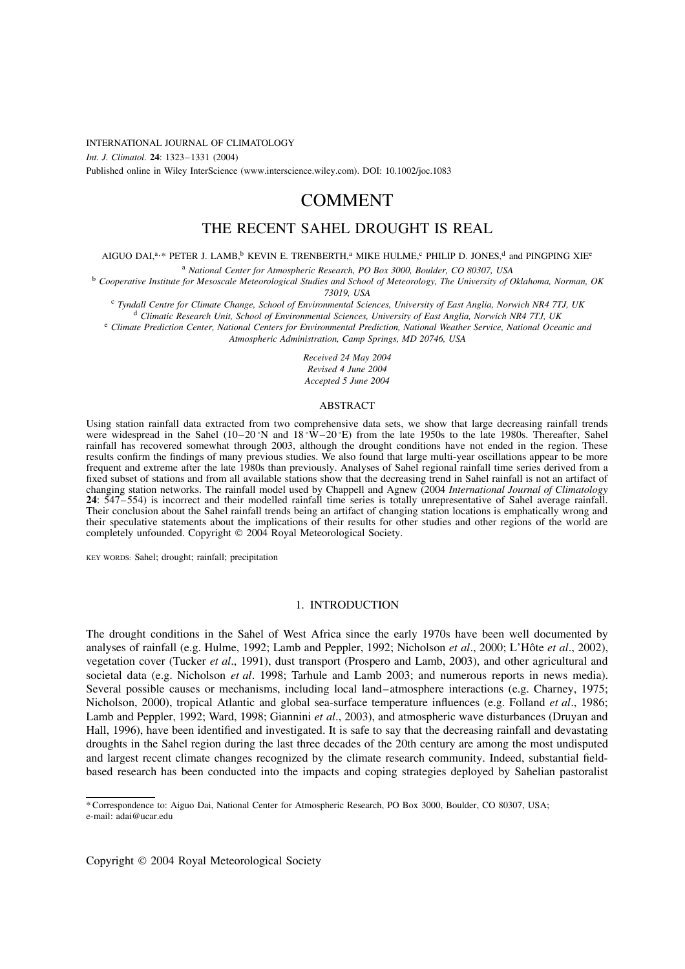INTERNATIONAL JOURNAL OF CLIMATOLOGY

*Int. J. Climatol.* **24**: 1323–1331 (2004)

Published online in Wiley InterScience (www.interscience.wiley.com). DOI: 10.1002/joc.1083

# COMMENT

## THE RECENT SAHEL DROUGHT IS REAL

AIGUO DAI,<sup>a,</sup> \* PETER J. LAMB,<sup>b</sup> KEVIN E. TRENBERTH,<sup>a</sup> MIKE HULME,<sup>c</sup> PHILIP D. JONES,<sup>d</sup> and PINGPING XIE<sup>e</sup>

<sup>a</sup> *National Center for Atmospheric Research, PO Box 3000, Boulder, CO 80307, USA*

<sup>b</sup> *Cooperative Institute for Mesoscale Meteorological Studies and School of Meteorology, The University of Oklahoma, Norman, OK 73019, USA*

<sup>c</sup> *Tyndall Centre for Climate Change, School of Environmental Sciences, University of East Anglia, Norwich NR4 7TJ, UK*

<sup>d</sup> *Climatic Research Unit, School of Environmental Sciences, University of East Anglia, Norwich NR4 7TJ, UK* <sup>e</sup> *Climate Prediction Center, National Centers for Environmental Prediction, National Weather Service, National Oceanic and*

*Atmospheric Administration, Camp Springs, MD 20746, USA*

*Received 24 May 2004 Revised 4 June 2004 Accepted 5 June 2004*

#### ABSTRACT

Using station rainfall data extracted from two comprehensive data sets, we show that large decreasing rainfall trends were widespread in the Sahel (10–20 °N and 18 ° $\dot{W}$ –20 °E) from the late 1950s to the late 1980s. Thereafter, Sahel rainfall has recovered somewhat through 2003, although the drought conditions have not ended in the region. These results confirm the findings of many previous studies. We also found that large multi-year oscillations appear to be more frequent and extreme after the late 1980s than previously. Analyses of Sahel regional rainfall time series derived from a fixed subset of stations and from all available stations show that the decreasing trend in Sahel rainfall is not an artifact of changing station networks. The rainfall model used by Chappell and Agnew (2004 *International Journal of Climatology* **24**: 547–554) is incorrect and their modelled rainfall time series is totally unrepresentative of Sahel average rainfall. Their conclusion about the Sahel rainfall trends being an artifact of changing station locations is emphatically wrong and their speculative statements about the implications of their results for other studies and other regions of the world are completely unfounded. Copyright  $© 2004$  Royal Meteorological Society.

KEY WORDS: Sahel; drought; rainfall; precipitation

## 1. INTRODUCTION

The drought conditions in the Sahel of West Africa since the early 1970s have been well documented by analyses of rainfall (e.g. Hulme, 1992; Lamb and Peppler, 1992; Nicholson *et al.*, 2000; L'Hôte *et al.*, 2002), vegetation cover (Tucker *et al*., 1991), dust transport (Prospero and Lamb, 2003), and other agricultural and societal data (e.g. Nicholson *et al*. 1998; Tarhule and Lamb 2003; and numerous reports in news media). Several possible causes or mechanisms, including local land–atmosphere interactions (e.g. Charney, 1975; Nicholson, 2000), tropical Atlantic and global sea-surface temperature influences (e.g. Folland *et al*., 1986; Lamb and Peppler, 1992; Ward, 1998; Giannini *et al*., 2003), and atmospheric wave disturbances (Druyan and Hall, 1996), have been identified and investigated. It is safe to say that the decreasing rainfall and devastating droughts in the Sahel region during the last three decades of the 20th century are among the most undisputed and largest recent climate changes recognized by the climate research community. Indeed, substantial fieldbased research has been conducted into the impacts and coping strategies deployed by Sahelian pastoralist

<sup>\*</sup> Correspondence to: Aiguo Dai, National Center for Atmospheric Research, PO Box 3000, Boulder, CO 80307, USA; e-mail: adai@ucar.edu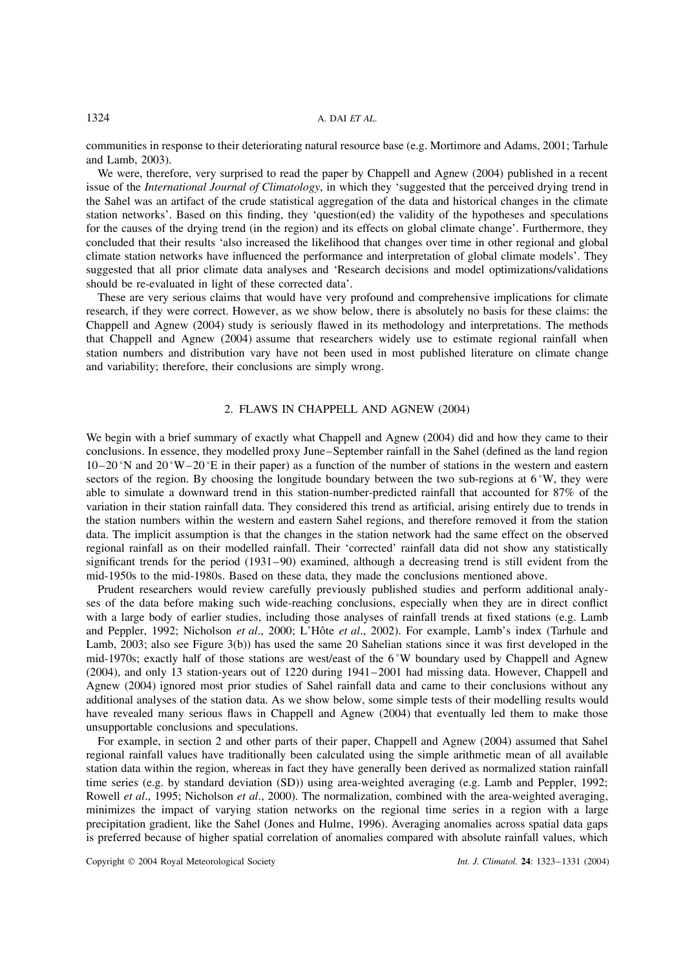communities in response to their deteriorating natural resource base (e.g. Mortimore and Adams, 2001; Tarhule and Lamb, 2003).

We were, therefore, very surprised to read the paper by Chappell and Agnew (2004) published in a recent issue of the *International Journal of Climatology*, in which they 'suggested that the perceived drying trend in the Sahel was an artifact of the crude statistical aggregation of the data and historical changes in the climate station networks'. Based on this finding, they 'question(ed) the validity of the hypotheses and speculations for the causes of the drying trend (in the region) and its effects on global climate change'. Furthermore, they concluded that their results 'also increased the likelihood that changes over time in other regional and global climate station networks have influenced the performance and interpretation of global climate models'. They suggested that all prior climate data analyses and 'Research decisions and model optimizations/validations should be re-evaluated in light of these corrected data'.

These are very serious claims that would have very profound and comprehensive implications for climate research, if they were correct. However, as we show below, there is absolutely no basis for these claims: the Chappell and Agnew (2004) study is seriously flawed in its methodology and interpretations. The methods that Chappell and Agnew (2004) assume that researchers widely use to estimate regional rainfall when station numbers and distribution vary have not been used in most published literature on climate change and variability; therefore, their conclusions are simply wrong.

## 2. FLAWS IN CHAPPELL AND AGNEW (2004)

We begin with a brief summary of exactly what Chappell and Agnew (2004) did and how they came to their conclusions. In essence, they modelled proxy June–September rainfall in the Sahel (defined as the land region 10–20 °N and 20 °W–20 °E in their paper) as a function of the number of stations in the western and eastern sectors of the region. By choosing the longitude boundary between the two sub-regions at  $6°W$ , they were able to simulate a downward trend in this station-number-predicted rainfall that accounted for 87% of the variation in their station rainfall data. They considered this trend as artificial, arising entirely due to trends in the station numbers within the western and eastern Sahel regions, and therefore removed it from the station data. The implicit assumption is that the changes in the station network had the same effect on the observed regional rainfall as on their modelled rainfall. Their 'corrected' rainfall data did not show any statistically significant trends for the period (1931–90) examined, although a decreasing trend is still evident from the mid-1950s to the mid-1980s. Based on these data, they made the conclusions mentioned above.

Prudent researchers would review carefully previously published studies and perform additional analyses of the data before making such wide-reaching conclusions, especially when they are in direct conflict with a large body of earlier studies, including those analyses of rainfall trends at fixed stations (e.g. Lamb and Peppler, 1992; Nicholson et al., 2000; L'Hôte et al., 2002). For example, Lamb's index (Tarhule and Lamb, 2003; also see Figure 3(b)) has used the same 20 Sahelian stations since it was first developed in the mid-1970s; exactly half of those stations are west/east of the 6 °W boundary used by Chappell and Agnew (2004), and only 13 station-years out of 1220 during 1941–2001 had missing data. However, Chappell and Agnew (2004) ignored most prior studies of Sahel rainfall data and came to their conclusions without any additional analyses of the station data. As we show below, some simple tests of their modelling results would have revealed many serious flaws in Chappell and Agnew (2004) that eventually led them to make those unsupportable conclusions and speculations.

For example, in section 2 and other parts of their paper, Chappell and Agnew (2004) assumed that Sahel regional rainfall values have traditionally been calculated using the simple arithmetic mean of all available station data within the region, whereas in fact they have generally been derived as normalized station rainfall time series (e.g. by standard deviation (SD)) using area-weighted averaging (e.g. Lamb and Peppler, 1992; Rowell *et al*., 1995; Nicholson *et al*., 2000). The normalization, combined with the area-weighted averaging, minimizes the impact of varying station networks on the regional time series in a region with a large precipitation gradient, like the Sahel (Jones and Hulme, 1996). Averaging anomalies across spatial data gaps is preferred because of higher spatial correlation of anomalies compared with absolute rainfall values, which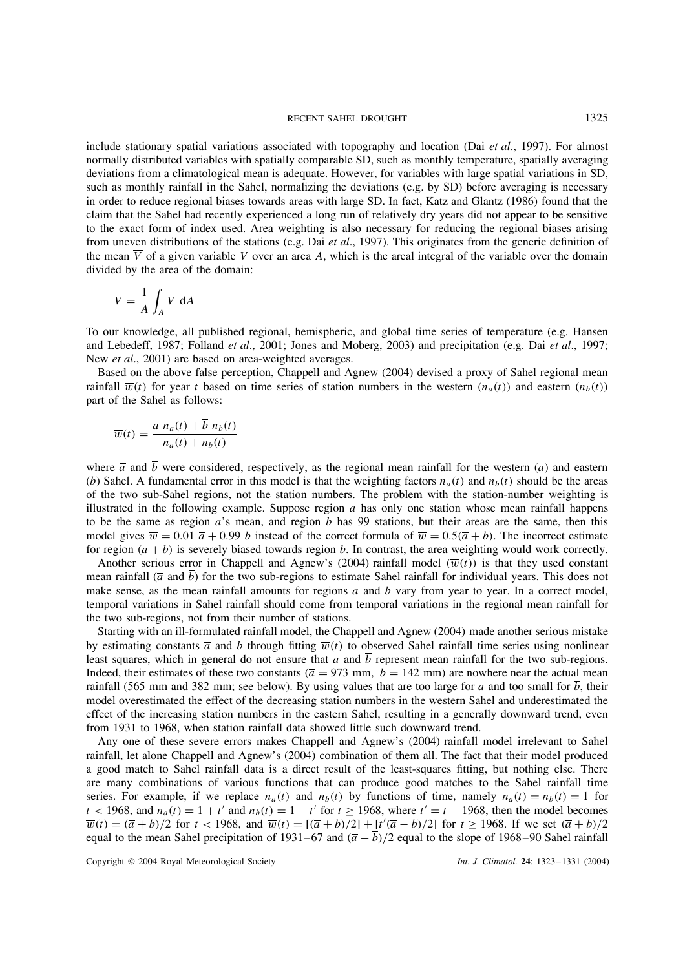#### RECENT SAHEL DROUGHT 1325

include stationary spatial variations associated with topography and location (Dai *et al*., 1997). For almost normally distributed variables with spatially comparable SD, such as monthly temperature, spatially averaging deviations from a climatological mean is adequate. However, for variables with large spatial variations in SD, such as monthly rainfall in the Sahel, normalizing the deviations (e.g. by SD) before averaging is necessary in order to reduce regional biases towards areas with large SD. In fact, Katz and Glantz (1986) found that the claim that the Sahel had recently experienced a long run of relatively dry years did not appear to be sensitive to the exact form of index used. Area weighting is also necessary for reducing the regional biases arising from uneven distributions of the stations (e.g. Dai *et al*., 1997). This originates from the generic definition of the mean  $\overline{V}$  of a given variable *V* over an area *A*, which is the areal integral of the variable over the domain divided by the area of the domain:

$$
\overline{V} = \frac{1}{A} \int_A V \, \mathrm{d}A
$$

To our knowledge, all published regional, hemispheric, and global time series of temperature (e.g. Hansen and Lebedeff, 1987; Folland *et al*., 2001; Jones and Moberg, 2003) and precipitation (e.g. Dai *et al*., 1997; New *et al*., 2001) are based on area-weighted averages.

Based on the above false perception, Chappell and Agnew (2004) devised a proxy of Sahel regional mean rainfall  $\overline{w}(t)$  for year *t* based on time series of station numbers in the western  $(n_a(t))$  and eastern  $(n_b(t))$ part of the Sahel as follows:

$$
\overline{w}(t) = \frac{\overline{a} \; n_a(t) + \overline{b} \; n_b(t)}{n_a(t) + n_b(t)}
$$

where  $\bar{a}$  and  $\bar{b}$  were considered, respectively, as the regional mean rainfall for the western (*a*) and eastern (*b*) Sahel. A fundamental error in this model is that the weighting factors  $n_a(t)$  and  $n_b(t)$  should be the areas of the two sub-Sahel regions, not the station numbers. The problem with the station-number weighting is illustrated in the following example. Suppose region *a* has only one station whose mean rainfall happens to be the same as region *a*'s mean, and region *b* has 99 stations, but their areas are the same, then this model gives  $\overline{w} = 0.01 \overline{a} + 0.99 \overline{b}$  instead of the correct formula of  $\overline{w} = 0.5(\overline{a} + \overline{b})$ . The incorrect estimate for region  $(a + b)$  is severely biased towards region *b*. In contrast, the area weighting would work correctly.

Another serious error in Chappell and Agnew's (2004) rainfall model  $(\overline{w}(t))$  is that they used constant mean rainfall  $(\overline{a}$  and  $\overline{b})$  for the two sub-regions to estimate Sahel rainfall for individual years. This does not make sense, as the mean rainfall amounts for regions *a* and *b* vary from year to year. In a correct model, temporal variations in Sahel rainfall should come from temporal variations in the regional mean rainfall for the two sub-regions, not from their number of stations.

Starting with an ill-formulated rainfall model, the Chappell and Agnew (2004) made another serious mistake by estimating constants  $\overline{a}$  and  $\overline{b}$  through fitting  $\overline{w}(t)$  to observed Sahel rainfall time series using nonlinear least squares, which in general do not ensure that  $\overline{a}$  and  $\overline{b}$  represent mean rainfall for the two sub-regions. Indeed, their estimates of these two constants  $(\overline{a} = 973 \text{ mm}, \overline{b} = 142 \text{ mm})$  are nowhere near the actual mean rainfall (565 mm and 382 mm; see below). By using values that are too large for  $\overline{a}$  and too small for  $\overline{b}$ , their model overestimated the effect of the decreasing station numbers in the western Sahel and underestimated the effect of the increasing station numbers in the eastern Sahel, resulting in a generally downward trend, even from 1931 to 1968, when station rainfall data showed little such downward trend.

Any one of these severe errors makes Chappell and Agnew's (2004) rainfall model irrelevant to Sahel rainfall, let alone Chappell and Agnew's (2004) combination of them all. The fact that their model produced a good match to Sahel rainfall data is a direct result of the least-squares fitting, but nothing else. There are many combinations of various functions that can produce good matches to the Sahel rainfall time series. For example, if we replace  $n_a(t)$  and  $n_b(t)$  by functions of time, namely  $n_a(t) = n_b(t) = 1$  for  $t < 1968$ , and  $n_a(t) = 1 + t'$  and  $n_b(t) = 1 - t'$  for  $t \ge 1968$ , where  $t' = t - 1968$ , then the model becomes  $\overline{w}(t) = (\overline{a} + \overline{b})/2$  for  $t < 1968$ , and  $\overline{w}(t) = [(\overline{a} + \overline{b})/2] + [t'(\overline{a} - \overline{b})/2]$  for  $t \ge 1968$ . If we set  $(\overline{a} + \overline{b})/2$ equal to the mean Sahel precipitation of 1931–67 and  $(\overline{a} - \overline{b})/2$  equal to the slope of 1968–90 Sahel rainfall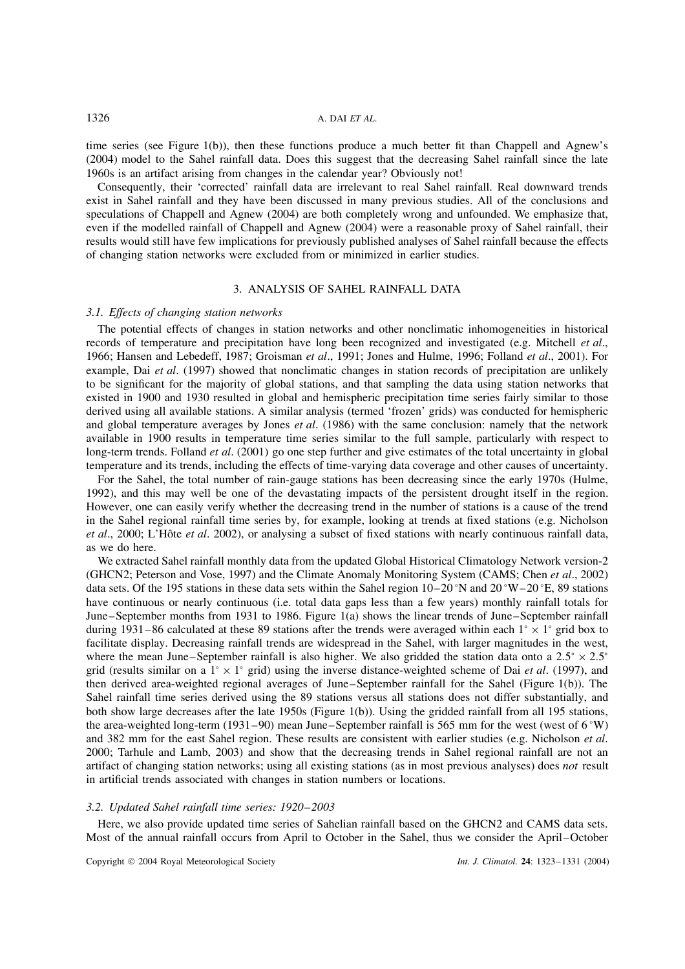time series (see Figure 1(b)), then these functions produce a much better fit than Chappell and Agnew's (2004) model to the Sahel rainfall data. Does this suggest that the decreasing Sahel rainfall since the late 1960s is an artifact arising from changes in the calendar year? Obviously not!

Consequently, their 'corrected' rainfall data are irrelevant to real Sahel rainfall. Real downward trends exist in Sahel rainfall and they have been discussed in many previous studies. All of the conclusions and speculations of Chappell and Agnew (2004) are both completely wrong and unfounded. We emphasize that, even if the modelled rainfall of Chappell and Agnew (2004) were a reasonable proxy of Sahel rainfall, their results would still have few implications for previously published analyses of Sahel rainfall because the effects of changing station networks were excluded from or minimized in earlier studies.

## 3. ANALYSIS OF SAHEL RAINFALL DATA

#### *3.1. Effects of changing station networks*

The potential effects of changes in station networks and other nonclimatic inhomogeneities in historical records of temperature and precipitation have long been recognized and investigated (e.g. Mitchell *et al*., 1966; Hansen and Lebedeff, 1987; Groisman *et al*., 1991; Jones and Hulme, 1996; Folland *et al*., 2001). For example, Dai *et al*. (1997) showed that nonclimatic changes in station records of precipitation are unlikely to be significant for the majority of global stations, and that sampling the data using station networks that existed in 1900 and 1930 resulted in global and hemispheric precipitation time series fairly similar to those derived using all available stations. A similar analysis (termed 'frozen' grids) was conducted for hemispheric and global temperature averages by Jones *et al*. (1986) with the same conclusion: namely that the network available in 1900 results in temperature time series similar to the full sample, particularly with respect to long-term trends. Folland *et al*. (2001) go one step further and give estimates of the total uncertainty in global temperature and its trends, including the effects of time-varying data coverage and other causes of uncertainty.

For the Sahel, the total number of rain-gauge stations has been decreasing since the early 1970s (Hulme, 1992), and this may well be one of the devastating impacts of the persistent drought itself in the region. However, one can easily verify whether the decreasing trend in the number of stations is a cause of the trend in the Sahel regional rainfall time series by, for example, looking at trends at fixed stations (e.g. Nicholson *et al.*, 2000; L'Hôte *et al.* 2002), or analysing a subset of fixed stations with nearly continuous rainfall data, as we do here.

We extracted Sahel rainfall monthly data from the updated Global Historical Climatology Network version-2 (GHCN2; Peterson and Vose, 1997) and the Climate Anomaly Monitoring System (CAMS; Chen *et al*., 2002) data sets. Of the 195 stations in these data sets within the Sahel region  $10-20^\circ N$  and  $20^\circ W-20^\circ E$ , 89 stations have continuous or nearly continuous (i.e. total data gaps less than a few years) monthly rainfall totals for June–September months from 1931 to 1986. Figure 1(a) shows the linear trends of June–September rainfall during 1931–86 calculated at these 89 stations after the trends were averaged within each  $1^\circ \times 1^\circ$  grid box to facilitate display. Decreasing rainfall trends are widespread in the Sahel, with larger magnitudes in the west, where the mean June–September rainfall is also higher. We also gridded the station data onto a  $2.5^{\circ} \times 2.5^{\circ}$ grid (results similar on a 1° × 1° grid) using the inverse distance-weighted scheme of Dai *et al*. (1997), and then derived area-weighted regional averages of June–September rainfall for the Sahel (Figure 1(b)). The Sahel rainfall time series derived using the 89 stations versus all stations does not differ substantially, and both show large decreases after the late 1950s (Figure 1(b)). Using the gridded rainfall from all 195 stations, the area-weighted long-term (1931–90) mean June–September rainfall is 565 mm for the west (west of  $6 \degree W$ ) and 382 mm for the east Sahel region. These results are consistent with earlier studies (e.g. Nicholson *et al*. 2000; Tarhule and Lamb, 2003) and show that the decreasing trends in Sahel regional rainfall are not an artifact of changing station networks; using all existing stations (as in most previous analyses) does *not* result in artificial trends associated with changes in station numbers or locations.

#### *3.2. Updated Sahel rainfall time series: 1920–2003*

Here, we also provide updated time series of Sahelian rainfall based on the GHCN2 and CAMS data sets. Most of the annual rainfall occurs from April to October in the Sahel, thus we consider the April–October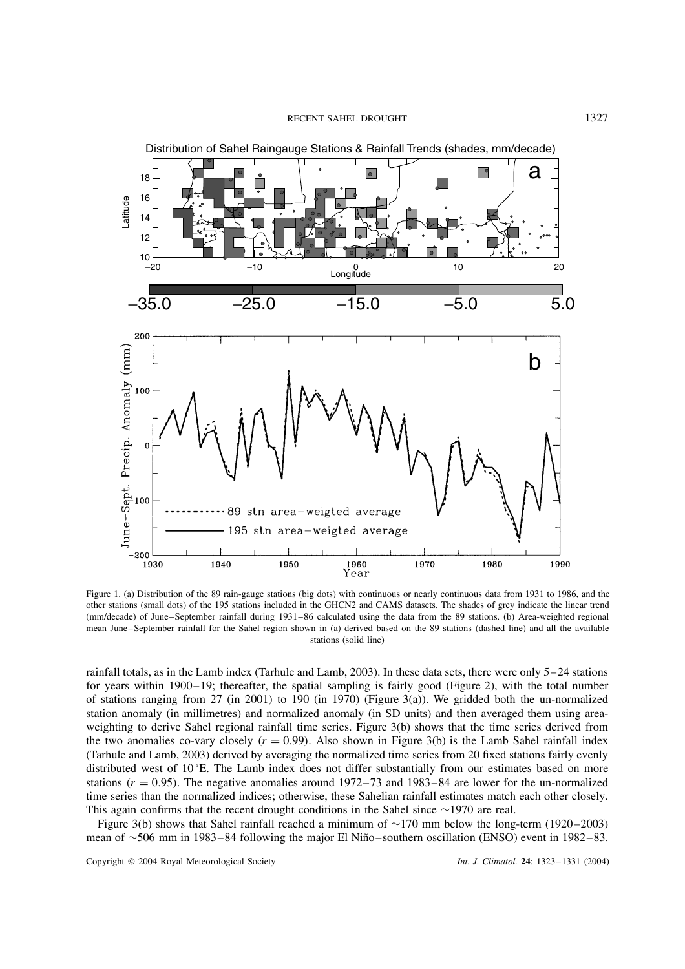

Figure 1. (a) Distribution of the 89 rain-gauge stations (big dots) with continuous or nearly continuous data from 1931 to 1986, and the other stations (small dots) of the 195 stations included in the GHCN2 and CAMS datasets. The shades of grey indicate the linear trend (mm/decade) of June–September rainfall during 1931–86 calculated using the data from the 89 stations. (b) Area-weighted regional mean June–September rainfall for the Sahel region shown in (a) derived based on the 89 stations (dashed line) and all the available stations (solid line)

rainfall totals, as in the Lamb index (Tarhule and Lamb, 2003). In these data sets, there were only 5–24 stations for years within 1900–19; thereafter, the spatial sampling is fairly good (Figure 2), with the total number of stations ranging from 27 (in 2001) to 190 (in 1970) (Figure 3(a)). We gridded both the un-normalized station anomaly (in millimetres) and normalized anomaly (in SD units) and then averaged them using areaweighting to derive Sahel regional rainfall time series. Figure 3(b) shows that the time series derived from the two anomalies co-vary closely  $(r = 0.99)$ . Also shown in Figure 3(b) is the Lamb Sahel rainfall index (Tarhule and Lamb, 2003) derived by averaging the normalized time series from 20 fixed stations fairly evenly distributed west of 10 °E. The Lamb index does not differ substantially from our estimates based on more stations  $(r = 0.95)$ . The negative anomalies around 1972–73 and 1983–84 are lower for the un-normalized time series than the normalized indices; otherwise, these Sahelian rainfall estimates match each other closely. This again confirms that the recent drought conditions in the Sahel since ∼1970 are real.

Figure 3(b) shows that Sahel rainfall reached a minimum of ∼170 mm below the long-term (1920–2003) mean of ∼506 mm in 1983–84 following the major El Niño–southern oscillation (ENSO) event in 1982–83.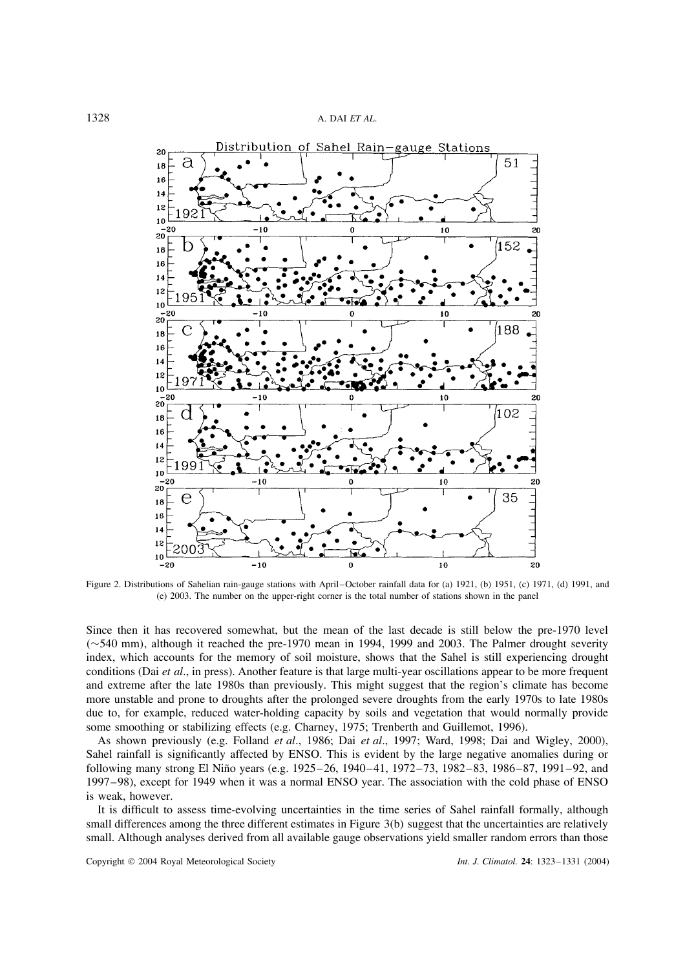

Figure 2. Distributions of Sahelian rain-gauge stations with April–October rainfall data for (a) 1921, (b) 1951, (c) 1971, (d) 1991, and (e) 2003. The number on the upper-right corner is the total number of stations shown in the panel

Since then it has recovered somewhat, but the mean of the last decade is still below the pre-1970 level *(*∼540 mm*)*, although it reached the pre-1970 mean in 1994, 1999 and 2003. The Palmer drought severity index, which accounts for the memory of soil moisture, shows that the Sahel is still experiencing drought conditions (Dai *et al*., in press). Another feature is that large multi-year oscillations appear to be more frequent and extreme after the late 1980s than previously. This might suggest that the region's climate has become more unstable and prone to droughts after the prolonged severe droughts from the early 1970s to late 1980s due to, for example, reduced water-holding capacity by soils and vegetation that would normally provide some smoothing or stabilizing effects (e.g. Charney, 1975; Trenberth and Guillemot, 1996).

As shown previously (e.g. Folland *et al*., 1986; Dai *et al*., 1997; Ward, 1998; Dai and Wigley, 2000), Sahel rainfall is significantly affected by ENSO. This is evident by the large negative anomalies during or following many strong El Niño years (e.g. 1925–26, 1940–41, 1972–73, 1982–83, 1986–87, 1991–92, and 1997–98), except for 1949 when it was a normal ENSO year. The association with the cold phase of ENSO is weak, however.

It is difficult to assess time-evolving uncertainties in the time series of Sahel rainfall formally, although small differences among the three different estimates in Figure 3(b) suggest that the uncertainties are relatively small. Although analyses derived from all available gauge observations yield smaller random errors than those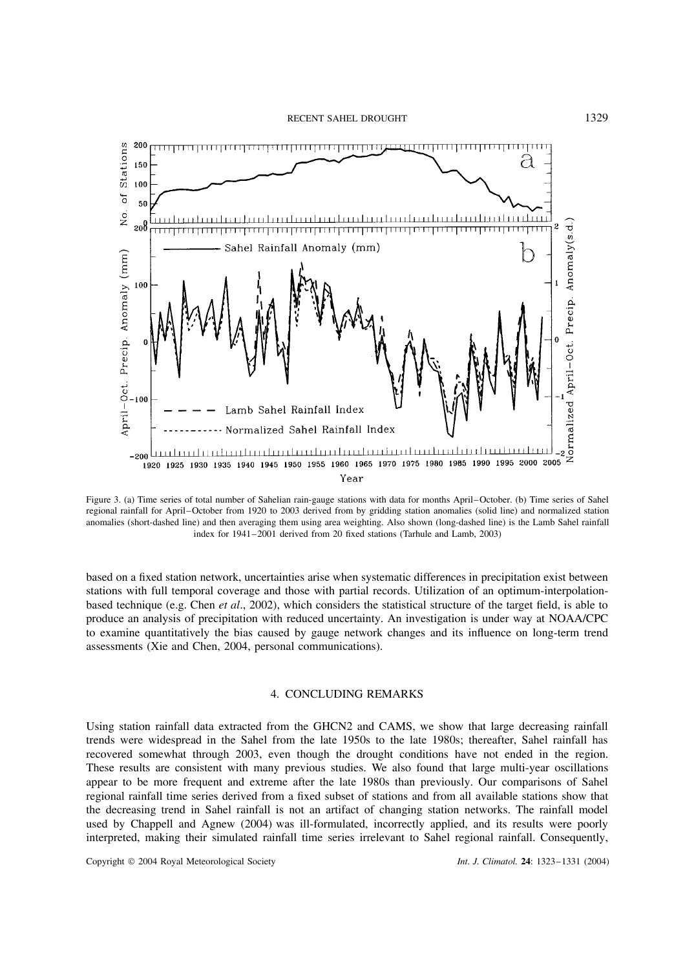

Figure 3. (a) Time series of total number of Sahelian rain-gauge stations with data for months April–October. (b) Time series of Sahel regional rainfall for April–October from 1920 to 2003 derived from by gridding station anomalies (solid line) and normalized station anomalies (short-dashed line) and then averaging them using area weighting. Also shown (long-dashed line) is the Lamb Sahel rainfall index for 1941–2001 derived from 20 fixed stations (Tarhule and Lamb, 2003)

based on a fixed station network, uncertainties arise when systematic differences in precipitation exist between stations with full temporal coverage and those with partial records. Utilization of an optimum-interpolationbased technique (e.g. Chen *et al*., 2002), which considers the statistical structure of the target field, is able to produce an analysis of precipitation with reduced uncertainty. An investigation is under way at NOAA/CPC to examine quantitatively the bias caused by gauge network changes and its influence on long-term trend assessments (Xie and Chen, 2004, personal communications).

## 4. CONCLUDING REMARKS

Using station rainfall data extracted from the GHCN2 and CAMS, we show that large decreasing rainfall trends were widespread in the Sahel from the late 1950s to the late 1980s; thereafter, Sahel rainfall has recovered somewhat through 2003, even though the drought conditions have not ended in the region. These results are consistent with many previous studies. We also found that large multi-year oscillations appear to be more frequent and extreme after the late 1980s than previously. Our comparisons of Sahel regional rainfall time series derived from a fixed subset of stations and from all available stations show that the decreasing trend in Sahel rainfall is not an artifact of changing station networks. The rainfall model used by Chappell and Agnew (2004) was ill-formulated, incorrectly applied, and its results were poorly interpreted, making their simulated rainfall time series irrelevant to Sahel regional rainfall. Consequently,

Copyright 2004 Royal Meteorological Society *Int. J. Climatol.* **24**: 1323–1331 (2004)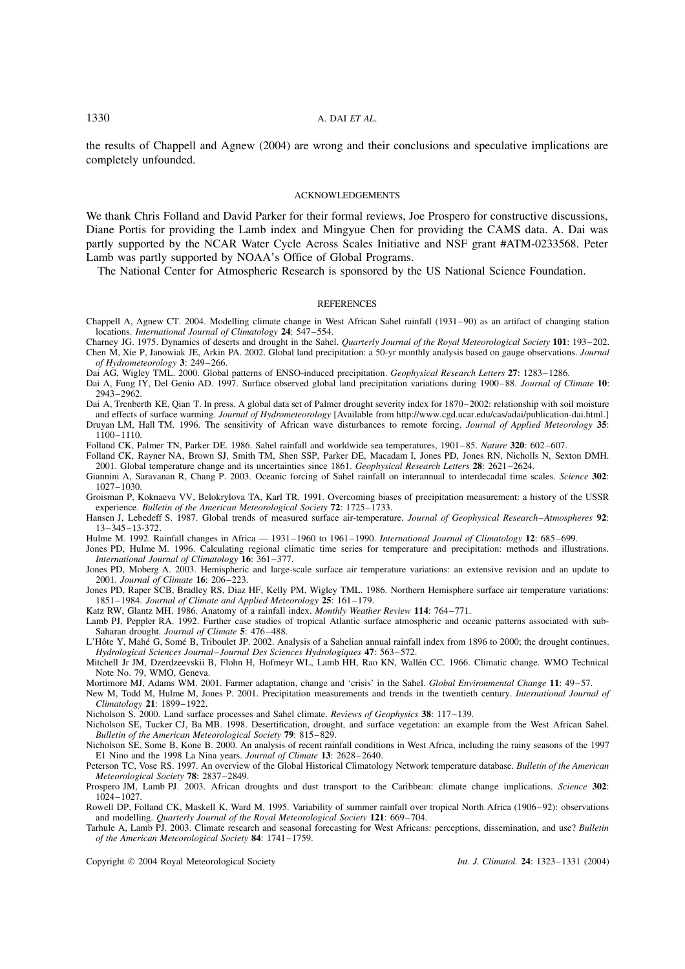the results of Chappell and Agnew (2004) are wrong and their conclusions and speculative implications are completely unfounded.

#### ACKNOWLEDGEMENTS

We thank Chris Folland and David Parker for their formal reviews, Joe Prospero for constructive discussions, Diane Portis for providing the Lamb index and Mingyue Chen for providing the CAMS data. A. Dai was partly supported by the NCAR Water Cycle Across Scales Initiative and NSF grant #ATM-0233568. Peter Lamb was partly supported by NOAA's Office of Global Programs.

The National Center for Atmospheric Research is sponsored by the US National Science Foundation.

#### **REFERENCES**

Chappell A, Agnew CT. 2004. Modelling climate change in West African Sahel rainfall (1931–90) as an artifact of changing station locations. *International Journal of Climatology* **24**: 547–554.

Charney JG. 1975. Dynamics of deserts and drought in the Sahel. *Quarterly Journal of the Royal Meteorological Society* **101**: 193–202. Chen M, Xie P, Janowiak JE, Arkin PA. 2002. Global land precipitation: a 50-yr monthly analysis based on gauge observations. *Journal of Hydrometeorology* **3**: 249–266.

Dai AG, Wigley TML. 2000. Global patterns of ENSO-induced precipitation. *Geophysical Research Letters* **27**: 1283–1286.

Dai A, Fung IY, Del Genio AD. 1997. Surface observed global land precipitation variations during 1900–88. *Journal of Climate* **10**: 2943–2962.

Dai A, Trenberth KE, Qian T. In press. A global data set of Palmer drought severity index for 1870–2002: relationship with soil moisture and effects of surface warming. *Journal of Hydrometeorology* [Available from http://www.cgd.ucar.edu/cas/adai/publication-dai.html.] Druyan LM, Hall TM. 1996. The sensitivity of African wave disturbances to remote forcing. *Journal of Applied Meteorology* **35**:

1100–1110. Folland CK, Palmer TN, Parker DE. 1986. Sahel rainfall and worldwide sea temperatures, 1901–85. *Nature* **320**: 602–607.

Folland CK, Rayner NA, Brown SJ, Smith TM, Shen SSP, Parker DE, Macadam I, Jones PD, Jones RN, Nicholls N, Sexton DMH. 2001. Global temperature change and its uncertainties since 1861. *Geophysical Research Letters* **28**: 2621–2624.

Giannini A, Saravanan R, Chang P. 2003. Oceanic forcing of Sahel rainfall on interannual to interdecadal time scales. *Science* **302**: 1027–1030.

Groisman P, Koknaeva VV, Belokrylova TA, Karl TR. 1991. Overcoming biases of precipitation measurement: a history of the USSR experience. *Bulletin of the American Meteorological Society* **72**: 1725–1733.

Hansen J, Lebedeff S. 1987. Global trends of measured surface air-temperature. *Journal of Geophysical Research–Atmospheres* **92**: 13–345–13-372.

Hulme M. 1992. Rainfall changes in Africa — 1931–1960 to 1961–1990. *International Journal of Climatology* **12**: 685–699.

Jones PD, Hulme M. 1996. Calculating regional climatic time series for temperature and precipitation: methods and illustrations. *International Journal of Climatology* **16**: 361–377.

Jones PD, Moberg A. 2003. Hemispheric and large-scale surface air temperature variations: an extensive revision and an update to 2001. *Journal of Climate* **16**: 206–223.

Jones PD, Raper SCB, Bradley RS, Diaz HF, Kelly PM, Wigley TML. 1986. Northern Hemisphere surface air temperature variations: 1851–1984. *Journal of Climate and Applied Meteorology* **25**: 161–179.

Katz RW, Glantz MH. 1986. Anatomy of a rainfall index. *Monthly Weather Review* **114**: 764–771.

Lamb PJ, Peppler RA. 1992. Further case studies of tropical Atlantic surface atmospheric and oceanic patterns associated with sub-Saharan drought. *Journal of Climate* **5**: 476–488.

L'Hôte Y, Mahé G, Somé B, Triboulet JP. 2002. Analysis of a Sahelian annual rainfall index from 1896 to 2000; the drought continues. *Hydrological Sciences Journal–Journal Des Sciences Hydrologiques* **47**: 563–572.

Mitchell Jr JM, Dzerdzeevskii B, Flohn H, Hofmeyr WL, Lamb HH, Rao KN, Wallén CC. 1966. Climatic change. WMO Technical Note No. 79, WMO, Geneva.

Mortimore MJ, Adams WM. 2001. Farmer adaptation, change and 'crisis' in the Sahel. *Global Environmental Change* **11**: 49–57.

New M, Todd M, Hulme M, Jones P. 2001. Precipitation measurements and trends in the twentieth century. *International Journal of Climatology* **21**: 1899–1922.

Nicholson S. 2000. Land surface processes and Sahel climate. *Reviews of Geophysics* **38**: 117–139.

Nicholson SE, Tucker CJ, Ba MB. 1998. Desertification, drought, and surface vegetation: an example from the West African Sahel. *Bulletin of the American Meteorological Society* **79**: 815–829.

Nicholson SE, Some B, Kone B. 2000. An analysis of recent rainfall conditions in West Africa, including the rainy seasons of the 1997 E1 Nino and the 1998 La Nina years. *Journal of Climate* **13**: 2628–2640.

Peterson TC, Vose RS. 1997. An overview of the Global Historical Climatology Network temperature database. *Bulletin of the American Meteorological Society* **78**: 2837–2849.

Prospero JM, Lamb PJ. 2003. African droughts and dust transport to the Caribbean: climate change implications. *Science* **302**:  $1024 - 1027$ .

Rowell DP, Folland CK, Maskell K, Ward M. 1995. Variability of summer rainfall over tropical North Africa (1906–92): observations and modelling. *Quarterly Journal of the Royal Meteorological Society* **121**: 669–704.

Tarhule A, Lamb PJ. 2003. Climate research and seasonal forecasting for West Africans: perceptions, dissemination, and use? *Bulletin of the American Meteorological Society* **84**: 1741–1759.

Copyright 2004 Royal Meteorological Society *Int. J. Climatol.* **24**: 1323–1331 (2004)